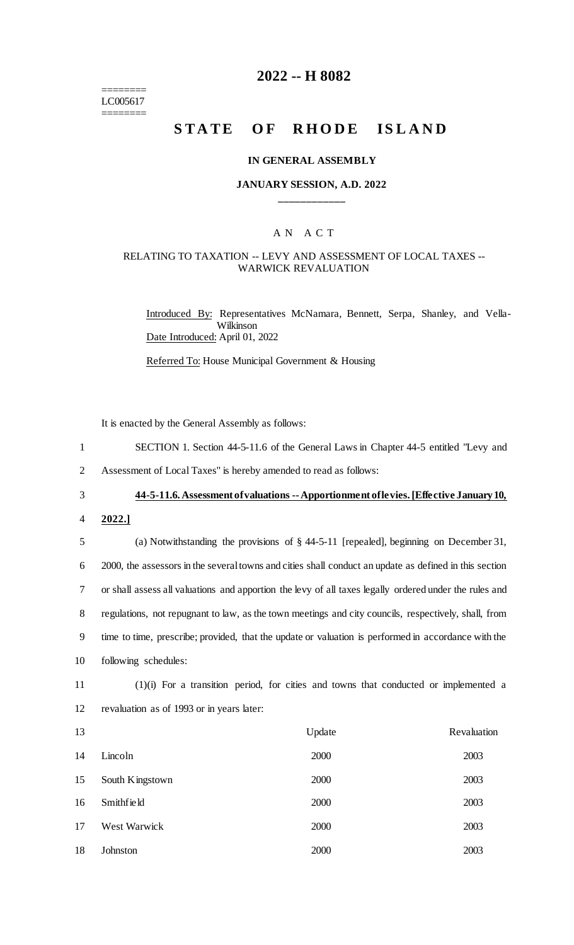======== LC005617 ========

## **2022 -- H 8082**

# **STATE OF RHODE ISLAND**

#### **IN GENERAL ASSEMBLY**

## **JANUARY SESSION, A.D. 2022 \_\_\_\_\_\_\_\_\_\_\_\_**

## A N A C T

## RELATING TO TAXATION -- LEVY AND ASSESSMENT OF LOCAL TAXES -- WARWICK REVALUATION

Introduced By: Representatives McNamara, Bennett, Serpa, Shanley, and Vella-Wilkinson Date Introduced: April 01, 2022

Referred To: House Municipal Government & Housing

It is enacted by the General Assembly as follows:

- 1 SECTION 1. Section 44-5-11.6 of the General Laws in Chapter 44-5 entitled "Levy and
- 2 Assessment of Local Taxes" is hereby amended to read as follows:
- 

### 3 **44-5-11.6. Assessment of valuations --Apportionment of levies. [Effective January 10,**

4 **2022.]**

 (a) Notwithstanding the provisions of § 44-5-11 [repealed], beginning on December 31, 2000, the assessors in the several towns and cities shall conduct an update as defined in this section or shall assess all valuations and apportion the levy of all taxes legally ordered under the rules and regulations, not repugnant to law, as the town meetings and city councils, respectively, shall, from time to time, prescribe; provided, that the update or valuation is performed in accordance with the following schedules:

- 11 (1)(i) For a transition period, for cities and towns that conducted or implemented a
- 12 revaluation as of 1993 or in years later:

| 13 |                 | Update | Revaluation |
|----|-----------------|--------|-------------|
| 14 | Lincoln         | 2000   | 2003        |
| 15 | South Kingstown | 2000   | 2003        |
| 16 | Smithfield      | 2000   | 2003        |
| 17 | West Warwick    | 2000   | 2003        |
| 18 | Johnston        | 2000   | 2003        |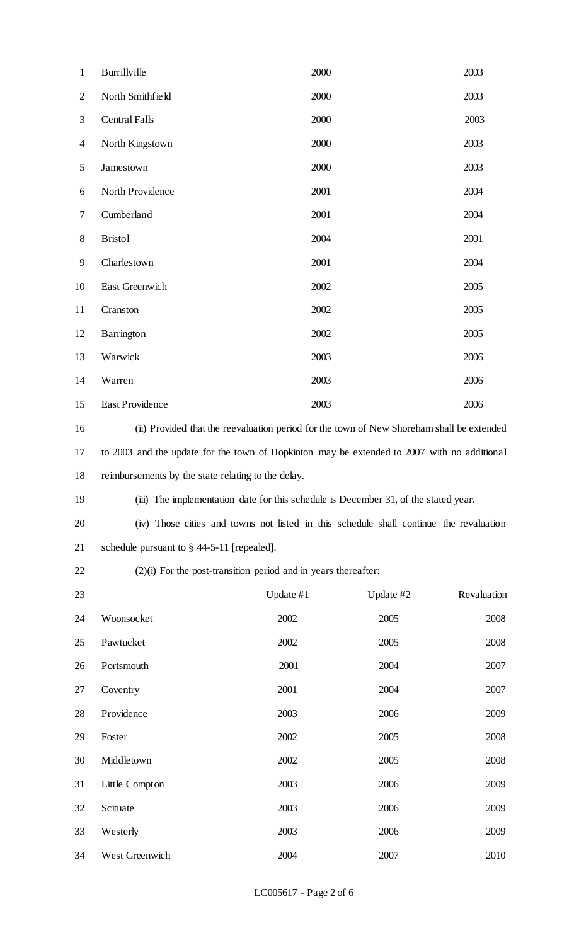| $\mathbf{1}$   | Burrillville                                                                                | 2000      |           | 2003        |  |
|----------------|---------------------------------------------------------------------------------------------|-----------|-----------|-------------|--|
| $\overline{2}$ | North Smithfield                                                                            | 2000      |           | 2003        |  |
| 3              | <b>Central Falls</b>                                                                        | 2000      |           | 2003        |  |
| $\overline{4}$ | North Kingstown                                                                             | 2000      |           | 2003        |  |
| $\mathfrak{S}$ | Jamestown                                                                                   | 2000      |           | 2003        |  |
| 6              | North Providence                                                                            | 2001      |           | 2004        |  |
| $\tau$         | Cumberland                                                                                  | 2001      |           | 2004        |  |
| $8\,$          | <b>Bristol</b>                                                                              | 2004      |           | 2001        |  |
| 9              | Charlestown                                                                                 | 2001      |           | 2004        |  |
| 10             | East Greenwich                                                                              | 2002      |           | 2005        |  |
| 11             | Cranston                                                                                    | 2002      |           | 2005        |  |
| 12             | Barrington                                                                                  | 2002      |           | 2005        |  |
| 13             | Warwick                                                                                     | 2003      |           | 2006        |  |
| 14             | Warren                                                                                      | 2003      |           | 2006        |  |
| 15             | <b>East Providence</b>                                                                      | 2003      |           | 2006        |  |
| 16             | (ii) Provided that the reevaluation period for the town of New Shoreham shall be extended   |           |           |             |  |
| 17             | to 2003 and the update for the town of Hopkinton may be extended to 2007 with no additional |           |           |             |  |
| 18             | reimbursements by the state relating to the delay.                                          |           |           |             |  |
| 19             | (iii) The implementation date for this schedule is December 31, of the stated year.         |           |           |             |  |
| 20             | (iv) Those cities and towns not listed in this schedule shall continue the revaluation      |           |           |             |  |
| 21             | schedule pursuant to $\S$ 44-5-11 [repealed].                                               |           |           |             |  |
| 22             | $(2)(i)$ For the post-transition period and in years thereafter:                            |           |           |             |  |
| 23             |                                                                                             | Update #1 | Update #2 | Revaluation |  |
| 24             | Woonsocket                                                                                  | 2002      | 2005      | 2008        |  |
| 25             | Pawtucket                                                                                   | 2002      | 2005      | 2008        |  |
| 26             | Portsmouth                                                                                  | 2001      | 2004      | 2007        |  |
| 27             | Coventry                                                                                    | 2001      | 2004      | 2007        |  |
| 28             | Providence                                                                                  | 2003      | 2006      | 2009        |  |
| 29             | Foster                                                                                      | 2002      | 2005      | 2008        |  |
| 30             | Middletown                                                                                  | 2002      | 2005      | 2008        |  |
| 31             | Little Compton                                                                              | 2003      | 2006      | 2009        |  |
| 32             | Scituate                                                                                    | 2003      | 2006      | 2009        |  |
| 33             | Westerly                                                                                    | 2003      | 2006      | 2009        |  |
| 34             | West Greenwich                                                                              | 2004      | 2007      | 2010        |  |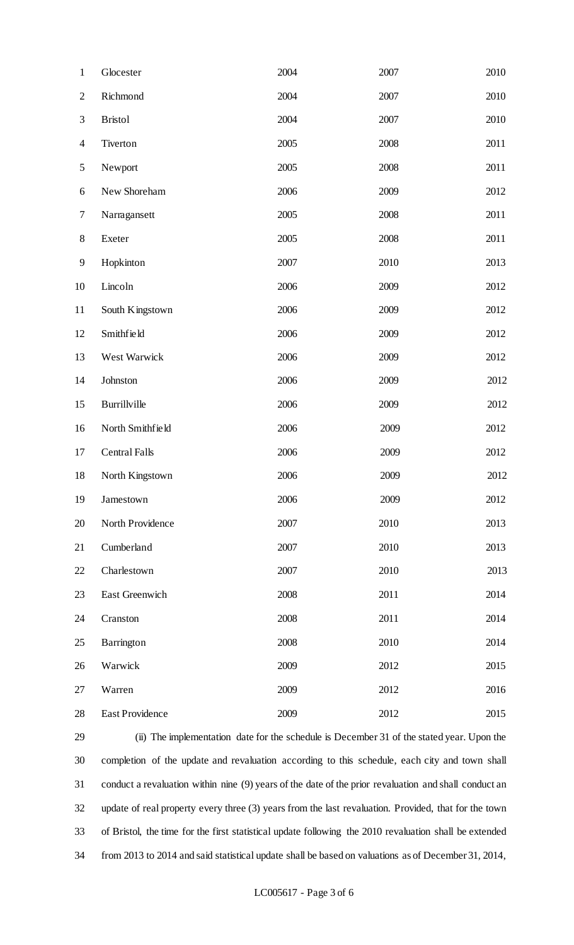| $\mathbf{1}$             | Glocester            | 2004 | 2007 | 2010 |
|--------------------------|----------------------|------|------|------|
| $\mathbf{2}$             | Richmond             | 2004 | 2007 | 2010 |
| 3                        | <b>Bristol</b>       | 2004 | 2007 | 2010 |
| $\overline{\mathcal{A}}$ | Tiverton             | 2005 | 2008 | 2011 |
| 5                        | Newport              | 2005 | 2008 | 2011 |
| 6                        | New Shoreham         | 2006 | 2009 | 2012 |
| 7                        | Narragansett         | 2005 | 2008 | 2011 |
| $8\,$                    | Exeter               | 2005 | 2008 | 2011 |
| 9                        | Hopkinton            | 2007 | 2010 | 2013 |
| 10                       | Lincoln              | 2006 | 2009 | 2012 |
| 11                       | South Kingstown      | 2006 | 2009 | 2012 |
| 12                       | Smithfield           | 2006 | 2009 | 2012 |
| 13                       | West Warwick         | 2006 | 2009 | 2012 |
| 14                       | Johnston             | 2006 | 2009 | 2012 |
| 15                       | Burrillville         | 2006 | 2009 | 2012 |
| 16                       | North Smithfield     | 2006 | 2009 | 2012 |
| 17                       | <b>Central Falls</b> | 2006 | 2009 | 2012 |
| 18                       | North Kingstown      | 2006 | 2009 | 2012 |
| 19                       | Jamestown            | 2006 | 2009 | 2012 |
| 20                       | North Providence     | 2007 | 2010 | 2013 |
| 21                       | Cumberland           | 2007 | 2010 | 2013 |
| 22                       | Charlestown          | 2007 | 2010 | 2013 |
| 23                       | East Greenwich       | 2008 | 2011 | 2014 |
| 24                       | Cranston             | 2008 | 2011 | 2014 |
| 25                       | Barrington           | 2008 | 2010 | 2014 |
| 26                       | Warwick              | 2009 | 2012 | 2015 |
| 27                       | Warren               | 2009 | 2012 | 2016 |
| 28                       | East Providence      | 2009 | 2012 | 2015 |

 (ii) The implementation date for the schedule is December 31 of the stated year. Upon the completion of the update and revaluation according to this schedule, each city and town shall conduct a revaluation within nine (9) years of the date of the prior revaluation and shall conduct an update of real property every three (3) years from the last revaluation. Provided, that for the town of Bristol, the time for the first statistical update following the 2010 revaluation shall be extended from 2013 to 2014 and said statistical update shall be based on valuations as of December 31, 2014,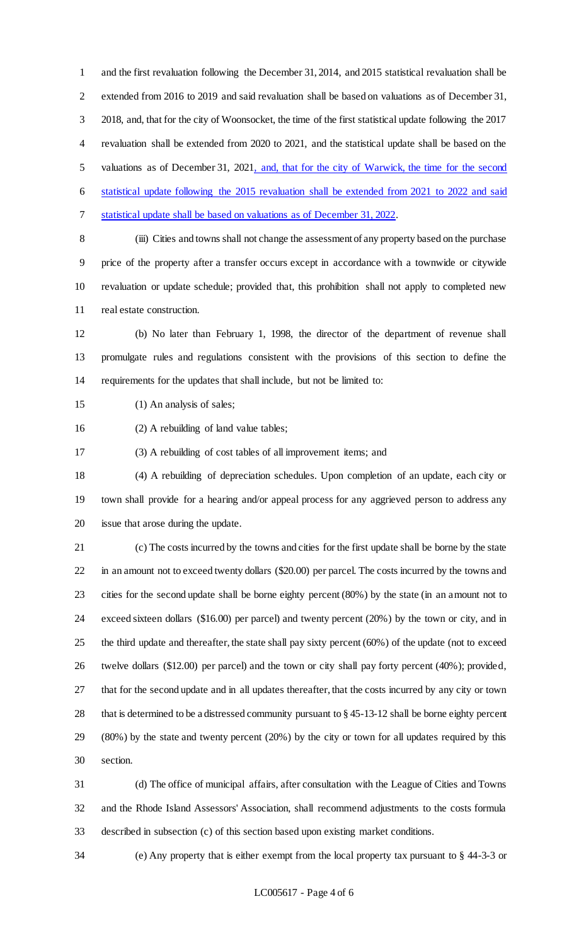and the first revaluation following the December 31, 2014, and 2015 statistical revaluation shall be extended from 2016 to 2019 and said revaluation shall be based on valuations as of December 31, 2018, and, that for the city of Woonsocket, the time of the first statistical update following the 2017 revaluation shall be extended from 2020 to 2021, and the statistical update shall be based on the valuations as of December 31, 2021, and, that for the city of Warwick, the time for the second statistical update following the 2015 revaluation shall be extended from 2021 to 2022 and said statistical update shall be based on valuations as of December 31, 2022.

 (iii) Cities and towns shall not change the assessment of any property based on the purchase price of the property after a transfer occurs except in accordance with a townwide or citywide revaluation or update schedule; provided that, this prohibition shall not apply to completed new real estate construction.

 (b) No later than February 1, 1998, the director of the department of revenue shall promulgate rules and regulations consistent with the provisions of this section to define the requirements for the updates that shall include, but not be limited to:

(1) An analysis of sales;

(2) A rebuilding of land value tables;

(3) A rebuilding of cost tables of all improvement items; and

 (4) A rebuilding of depreciation schedules. Upon completion of an update, each city or town shall provide for a hearing and/or appeal process for any aggrieved person to address any issue that arose during the update.

 (c) The costs incurred by the towns and cities for the first update shall be borne by the state in an amount not to exceed twenty dollars (\$20.00) per parcel. The costs incurred by the towns and cities for the second update shall be borne eighty percent (80%) by the state (in an amount not to exceed sixteen dollars (\$16.00) per parcel) and twenty percent (20%) by the town or city, and in the third update and thereafter, the state shall pay sixty percent (60%) of the update (not to exceed twelve dollars (\$12.00) per parcel) and the town or city shall pay forty percent (40%); provided, that for the second update and in all updates thereafter, that the costs incurred by any city or town that is determined to be a distressed community pursuant to § 45-13-12 shall be borne eighty percent (80%) by the state and twenty percent (20%) by the city or town for all updates required by this section.

 (d) The office of municipal affairs, after consultation with the League of Cities and Towns and the Rhode Island Assessors' Association, shall recommend adjustments to the costs formula described in subsection (c) of this section based upon existing market conditions.

(e) Any property that is either exempt from the local property tax pursuant to § 44-3-3 or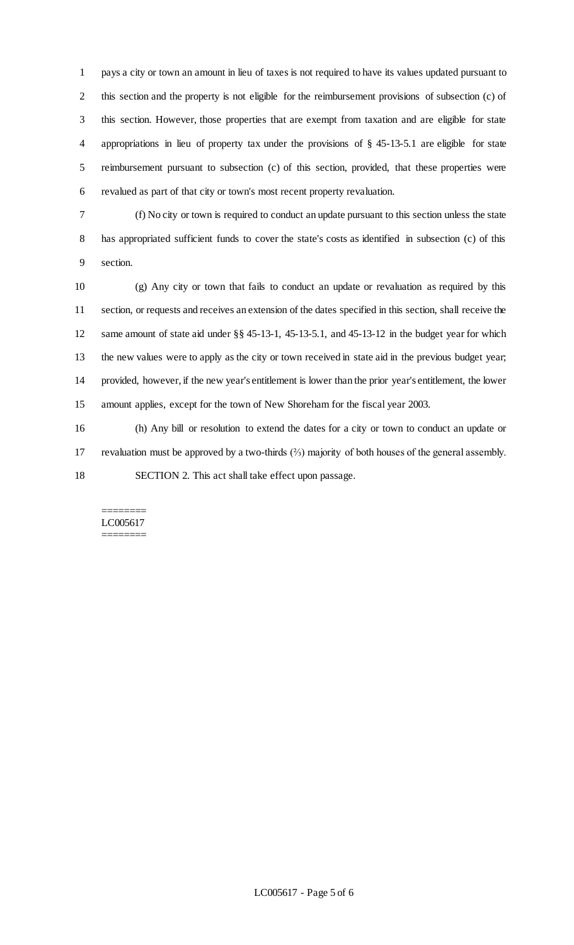pays a city or town an amount in lieu of taxes is not required to have its values updated pursuant to this section and the property is not eligible for the reimbursement provisions of subsection (c) of this section. However, those properties that are exempt from taxation and are eligible for state appropriations in lieu of property tax under the provisions of § 45-13-5.1 are eligible for state reimbursement pursuant to subsection (c) of this section, provided, that these properties were revalued as part of that city or town's most recent property revaluation.

 (f) No city or town is required to conduct an update pursuant to this section unless the state has appropriated sufficient funds to cover the state's costs as identified in subsection (c) of this section.

 (g) Any city or town that fails to conduct an update or revaluation as required by this section, or requests and receives an extension of the dates specified in this section, shall receive the same amount of state aid under §§ 45-13-1, 45-13-5.1, and 45-13-12 in the budget year for which the new values were to apply as the city or town received in state aid in the previous budget year; provided, however, if the new year's entitlement is lower than the prior year's entitlement, the lower amount applies, except for the town of New Shoreham for the fiscal year 2003.

 (h) Any bill or resolution to extend the dates for a city or town to conduct an update or revaluation must be approved by a two-thirds (⅔) majority of both houses of the general assembly. SECTION 2. This act shall take effect upon passage.

#### ======== LC005617 ========